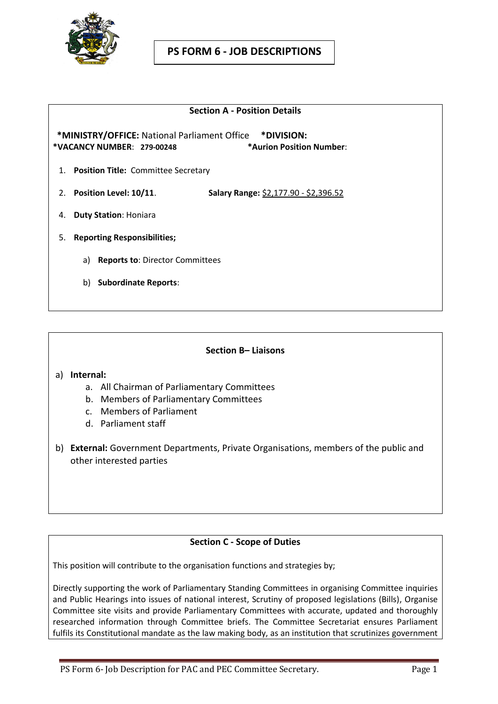

#### **Section A - Position Details**

 **\*MINISTRY/OFFICE:** National Parliament Office **\*DIVISION: \*VACANCY NUMBER**: **279-00248 \*Aurion Position Number**:

- 1. **Position Title:** Committee Secretary
- 2. **Position Level: 10/11**. **Salary Range:** \$2,177.90 \$2,396.52
- 4. **Duty Station**: Honiara
- 5. **Reporting Responsibilities;**
	- a) **Reports to**: Director Committees
	- b) **Subordinate Reports**:

#### **Section B– Liaisons**

#### a) **Internal:**

- a. All Chairman of Parliamentary Committees
- b. Members of Parliamentary Committees
- c. Members of Parliament
- d. Parliament staff
- b) **External:** Government Departments, Private Organisations, members of the public and other interested parties

### **Section C - Scope of Duties**

This position will contribute to the organisation functions and strategies by;

Directly supporting the work of Parliamentary Standing Committees in organising Committee inquiries and Public Hearings into issues of national interest, Scrutiny of proposed legislations (Bills), Organise Committee site visits and provide Parliamentary Committees with accurate, updated and thoroughly researched information through Committee briefs. The Committee Secretariat ensures Parliament fulfils its Constitutional mandate as the law making body, as an institution that scrutinizes government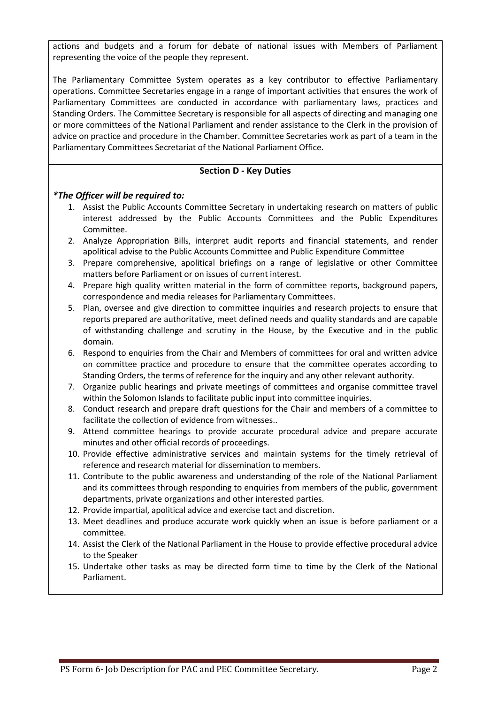actions and budgets and a forum for debate of national issues with Members of Parliament representing the voice of the people they represent.

The Parliamentary Committee System operates as a key contributor to effective Parliamentary operations. Committee Secretaries engage in a range of important activities that ensures the work of Parliamentary Committees are conducted in accordance with parliamentary laws, practices and Standing Orders. The Committee Secretary is responsible for all aspects of directing and managing one or more committees of the National Parliament and render assistance to the Clerk in the provision of advice on practice and procedure in the Chamber. Committee Secretaries work as part of a team in the Parliamentary Committees Secretariat of the National Parliament Office.

### **Section D - Key Duties**

### *\*The Officer will be required to:*

- 1. Assist the Public Accounts Committee Secretary in undertaking research on matters of public interest addressed by the Public Accounts Committees and the Public Expenditures Committee.
- 2. Analyze Appropriation Bills, interpret audit reports and financial statements, and render apolitical advise to the Public Accounts Committee and Public Expenditure Committee
- 3. Prepare comprehensive, apolitical briefings on a range of legislative or other Committee matters before Parliament or on issues of current interest.
- 4. Prepare high quality written material in the form of committee reports, background papers, correspondence and media releases for Parliamentary Committees.
- 5. Plan, oversee and give direction to committee inquiries and research projects to ensure that reports prepared are authoritative, meet defined needs and quality standards and are capable of withstanding challenge and scrutiny in the House, by the Executive and in the public domain.
- 6. Respond to enquiries from the Chair and Members of committees for oral and written advice on committee practice and procedure to ensure that the committee operates according to Standing Orders, the terms of reference for the inquiry and any other relevant authority.
- 7. Organize public hearings and private meetings of committees and organise committee travel within the Solomon Islands to facilitate public input into committee inquiries.
- 8. Conduct research and prepare draft questions for the Chair and members of a committee to facilitate the collection of evidence from witnesses..
- 9. Attend committee hearings to provide accurate procedural advice and prepare accurate minutes and other official records of proceedings.
- 10. Provide effective administrative services and maintain systems for the timely retrieval of reference and research material for dissemination to members.
- 11. Contribute to the public awareness and understanding of the role of the National Parliament and its committees through responding to enquiries from members of the public, government departments, private organizations and other interested parties.
- 12. Provide impartial, apolitical advice and exercise tact and discretion.
- 13. Meet deadlines and produce accurate work quickly when an issue is before parliament or a committee.
- 14. Assist the Clerk of the National Parliament in the House to provide effective procedural advice to the Speaker
- 15. Undertake other tasks as may be directed form time to time by the Clerk of the National Parliament.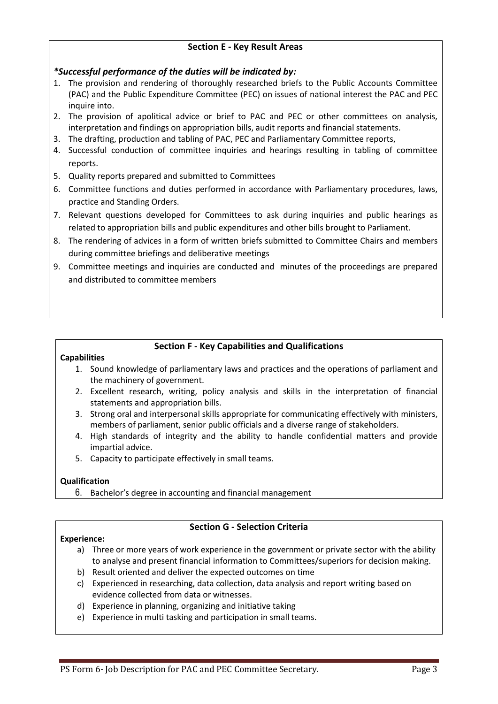# **Section E - Key Result Areas**

# *\*Successful performance of the duties will be indicated by:*

- 1. The provision and rendering of thoroughly researched briefs to the Public Accounts Committee (PAC) and the Public Expenditure Committee (PEC) on issues of national interest the PAC and PEC inquire into.
- 2. The provision of apolitical advice or brief to PAC and PEC or other committees on analysis, interpretation and findings on appropriation bills, audit reports and financial statements.
- 3. The drafting, production and tabling of PAC, PEC and Parliamentary Committee reports,
- 4. Successful conduction of committee inquiries and hearings resulting in tabling of committee reports.
- 5. Quality reports prepared and submitted to Committees
- 6. Committee functions and duties performed in accordance with Parliamentary procedures, laws, practice and Standing Orders.
- 7. Relevant questions developed for Committees to ask during inquiries and public hearings as related to appropriation bills and public expenditures and other bills brought to Parliament.
- 8. The rendering of advices in a form of written briefs submitted to Committee Chairs and members during committee briefings and deliberative meetings
- 9. Committee meetings and inquiries are conducted and minutes of the proceedings are prepared and distributed to committee members

# **Section F - Key Capabilities and Qualifications**

#### **Capabilities**

- 1. Sound knowledge of parliamentary laws and practices and the operations of parliament and the machinery of government.
- 2. Excellent research, writing, policy analysis and skills in the interpretation of financial statements and appropriation bills.
- 3. Strong oral and interpersonal skills appropriate for communicating effectively with ministers, members of parliament, senior public officials and a diverse range of stakeholders.
- 4. High standards of integrity and the ability to handle confidential matters and provide impartial advice.
- 5. Capacity to participate effectively in small teams.

# **Qualification**

6. Bachelor's degree in accounting and financial management

# **Section G - Selection Criteria**

# **Experience:**

- a) Three or more years of work experience in the government or private sector with the ability to analyse and present financial information to Committees/superiors for decision making.
- b) Result oriented and deliver the expected outcomes on time
- c) Experienced in researching, data collection, data analysis and report writing based on evidence collected from data or witnesses.
- d) Experience in planning, organizing and initiative taking
- e) Experience in multi tasking and participation in small teams.